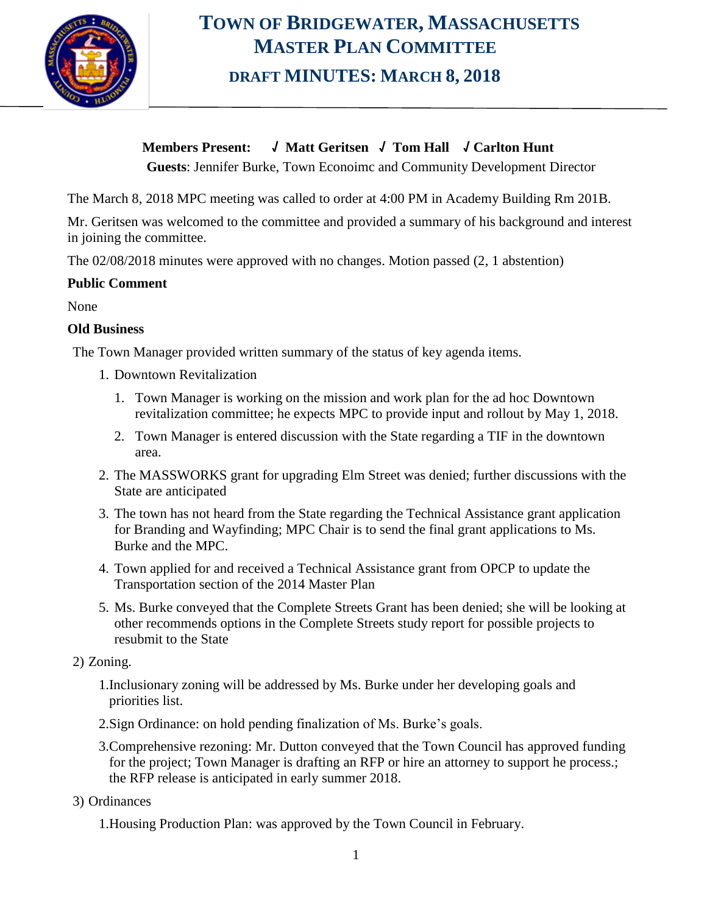

# **TOWN OF BRIDGEWATER, MASSACHUSETTS MASTER PLAN COMMITTEE DRAFT MINUTES: MARCH 8, 2018**

**Members Present: √ Matt Geritsen √ Tom Hall √ Carlton Hunt**

**Guests**: Jennifer Burke, Town Econoimc and Community Development Director

The March 8, 2018 MPC meeting was called to order at 4:00 PM in Academy Building Rm 201B.

Mr. Geritsen was welcomed to the committee and provided a summary of his background and interest in joining the committee.

The 02/08/2018 minutes were approved with no changes. Motion passed (2, 1 abstention)

#### **Public Comment**

None

#### **Old Business**

The Town Manager provided written summary of the status of key agenda items.

- 1. Downtown Revitalization
	- 1. Town Manager is working on the mission and work plan for the ad hoc Downtown revitalization committee; he expects MPC to provide input and rollout by May 1, 2018.
	- 2. Town Manager is entered discussion with the State regarding a TIF in the downtown area.
- 2. The MASSWORKS grant for upgrading Elm Street was denied; further discussions with the State are anticipated
- 3. The town has not heard from the State regarding the Technical Assistance grant application for Branding and Wayfinding; MPC Chair is to send the final grant applications to Ms. Burke and the MPC.
- 4. Town applied for and received a Technical Assistance grant from OPCP to update the Transportation section of the 2014 Master Plan
- 5. Ms. Burke conveyed that the Complete Streets Grant has been denied; she will be looking at other recommends options in the Complete Streets study report for possible projects to resubmit to the State

#### 2) Zoning.

- 1.Inclusionary zoning will be addressed by Ms. Burke under her developing goals and priorities list.
- 2.Sign Ordinance: on hold pending finalization of Ms. Burke's goals.
- 3.Comprehensive rezoning: Mr. Dutton conveyed that the Town Council has approved funding for the project; Town Manager is drafting an RFP or hire an attorney to support he process.; the RFP release is anticipated in early summer 2018.
- 3) Ordinances
	- 1.Housing Production Plan: was approved by the Town Council in February.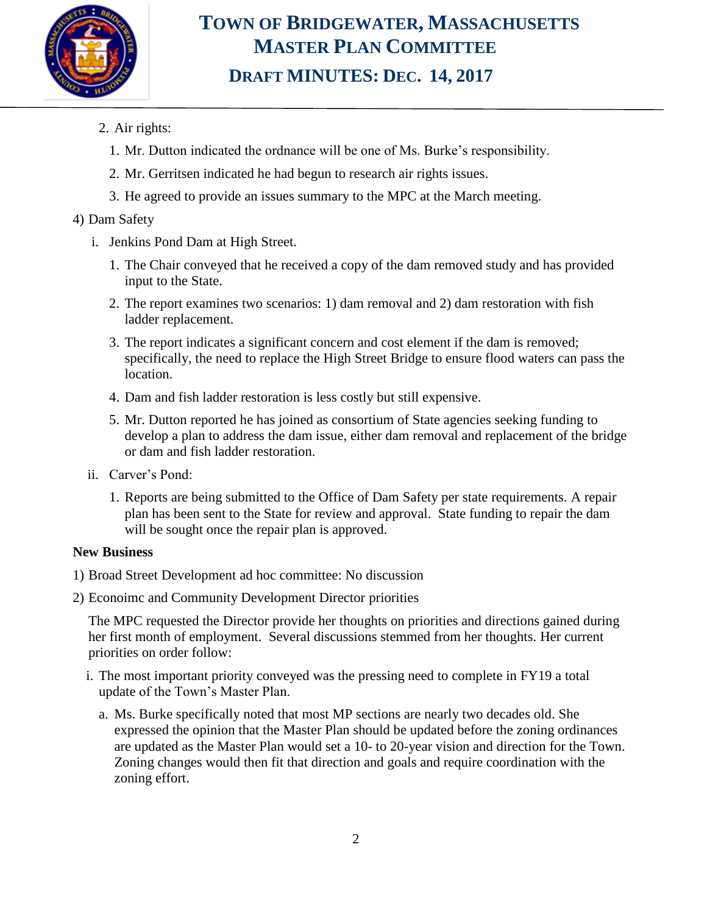

### **TOWN OF BRIDGEWATER, MASSACHUSETTS MASTER PLAN COMMITTEE DRAFT MINUTES: DEC. 14, 2017**

- 2. Air rights:
	- 1. Mr. Dutton indicated the ordnance will be one of Ms. Burke's responsibility.
	- 2. Mr. Gerritsen indicated he had begun to research air rights issues.
	- 3. He agreed to provide an issues summary to the MPC at the March meeting.

#### 4) Dam Safety

- i. Jenkins Pond Dam at High Street.
	- 1. The Chair conveyed that he received a copy of the dam removed study and has provided input to the State.
	- 2. The report examines two scenarios: 1) dam removal and 2) dam restoration with fish ladder replacement.
	- 3. The report indicates a significant concern and cost element if the dam is removed; specifically, the need to replace the High Street Bridge to ensure flood waters can pass the location.
	- 4. Dam and fish ladder restoration is less costly but still expensive.
	- 5. Mr. Dutton reported he has joined as consortium of State agencies seeking funding to develop a plan to address the dam issue, either dam removal and replacement of the bridge or dam and fish ladder restoration.
- ii. Carver's Pond:
	- 1. Reports are being submitted to the Office of Dam Safety per state requirements. A repair plan has been sent to the State for review and approval. State funding to repair the dam will be sought once the repair plan is approved.

#### **New Business**

- 1) Broad Street Development ad hoc committee: No discussion
- 2) Econoimc and Community Development Director priorities

The MPC requested the Director provide her thoughts on priorities and directions gained during her first month of employment. Several discussions stemmed from her thoughts. Her current priorities on order follow:

- i. The most important priority conveyed was the pressing need to complete in FY19 a total update of the Town's Master Plan.
	- a. Ms. Burke specifically noted that most MP sections are nearly two decades old. She expressed the opinion that the Master Plan should be updated before the zoning ordinances are updated as the Master Plan would set a 10- to 20-year vision and direction for the Town. Zoning changes would then fit that direction and goals and require coordination with the zoning effort.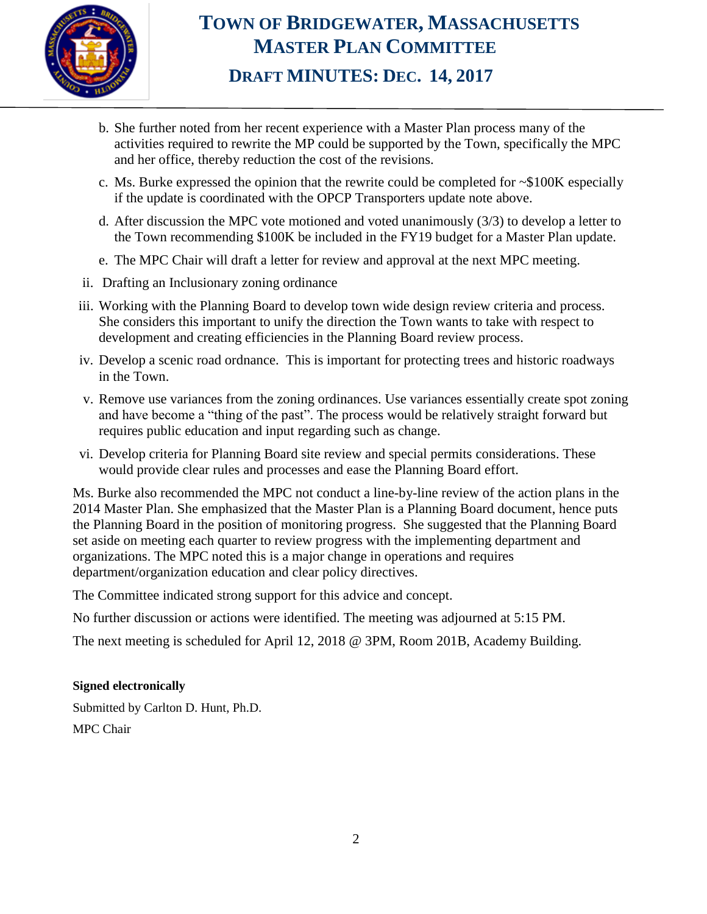

### **TOWN OF BRIDGEWATER, MASSACHUSETTS MASTER PLAN COMMITTEE DRAFT MINUTES: DEC. 14, 2017**

- b. She further noted from her recent experience with a Master Plan process many of the activities required to rewrite the MP could be supported by the Town, specifically the MPC and her office, thereby reduction the cost of the revisions.
- c. Ms. Burke expressed the opinion that the rewrite could be completed for ~\$100K especially if the update is coordinated with the OPCP Transporters update note above.
- d. After discussion the MPC vote motioned and voted unanimously (3/3) to develop a letter to the Town recommending \$100K be included in the FY19 budget for a Master Plan update.
- e. The MPC Chair will draft a letter for review and approval at the next MPC meeting.
- ii. Drafting an Inclusionary zoning ordinance
- iii. Working with the Planning Board to develop town wide design review criteria and process. She considers this important to unify the direction the Town wants to take with respect to development and creating efficiencies in the Planning Board review process.
- iv. Develop a scenic road ordnance. This is important for protecting trees and historic roadways in the Town.
- v. Remove use variances from the zoning ordinances. Use variances essentially create spot zoning and have become a "thing of the past". The process would be relatively straight forward but requires public education and input regarding such as change.
- vi. Develop criteria for Planning Board site review and special permits considerations. These would provide clear rules and processes and ease the Planning Board effort.

Ms. Burke also recommended the MPC not conduct a line-by-line review of the action plans in the 2014 Master Plan. She emphasized that the Master Plan is a Planning Board document, hence puts the Planning Board in the position of monitoring progress. She suggested that the Planning Board set aside on meeting each quarter to review progress with the implementing department and organizations. The MPC noted this is a major change in operations and requires department/organization education and clear policy directives.

The Committee indicated strong support for this advice and concept.

No further discussion or actions were identified. The meeting was adjourned at 5:15 PM.

The next meeting is scheduled for April 12, 2018 @ 3PM, Room 201B, Academy Building.

#### **Signed electronically**

Submitted by Carlton D. Hunt, Ph.D. MPC Chair